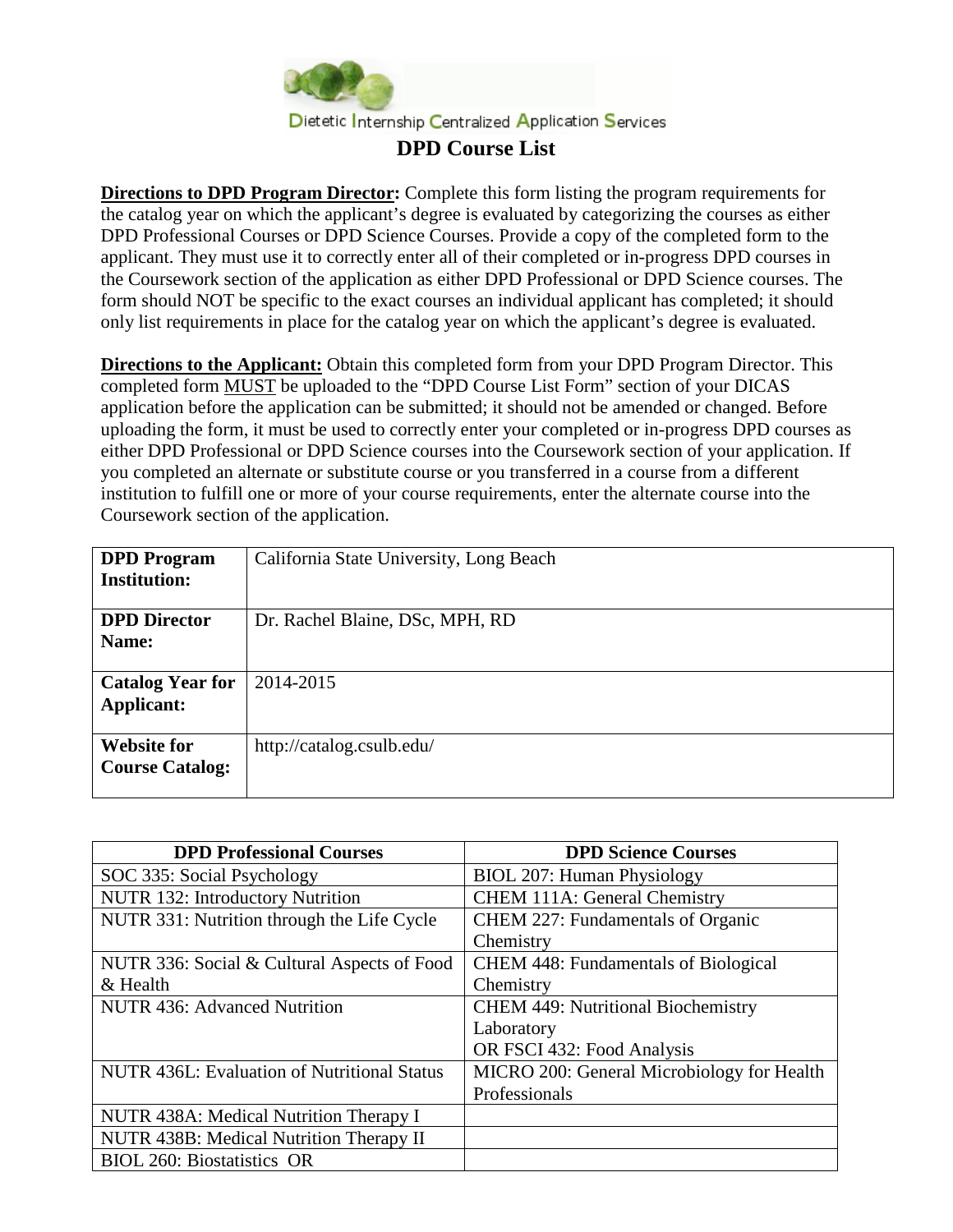

**Directions to DPD Program Director:** Complete this form listing the program requirements for the catalog year on which the applicant's degree is evaluated by categorizing the courses as either DPD Professional Courses or DPD Science Courses. Provide a copy of the completed form to the applicant. They must use it to correctly enter all of their completed or in-progress DPD courses in the Coursework section of the application as either DPD Professional or DPD Science courses. The form should NOT be specific to the exact courses an individual applicant has completed; it should only list requirements in place for the catalog year on which the applicant's degree is evaluated.

**Directions to the Applicant:** Obtain this completed form from your DPD Program Director. This completed form MUST be uploaded to the "DPD Course List Form" section of your DICAS application before the application can be submitted; it should not be amended or changed. Before uploading the form, it must be used to correctly enter your completed or in-progress DPD courses as either DPD Professional or DPD Science courses into the Coursework section of your application. If you completed an alternate or substitute course or you transferred in a course from a different institution to fulfill one or more of your course requirements, enter the alternate course into the Coursework section of the application.

| <b>DPD</b> Program                           | California State University, Long Beach |
|----------------------------------------------|-----------------------------------------|
| <b>Institution:</b>                          |                                         |
| <b>DPD Director</b>                          | Dr. Rachel Blaine, DSc, MPH, RD         |
| Name:                                        |                                         |
| <b>Catalog Year for</b><br><b>Applicant:</b> | 2014-2015                               |
| <b>Website for</b><br><b>Course Catalog:</b> | http://catalog.csulb.edu/               |

| <b>DPD Professional Courses</b>                    | <b>DPD Science Courses</b>                 |
|----------------------------------------------------|--------------------------------------------|
| SOC 335: Social Psychology                         | BIOL 207: Human Physiology                 |
| NUTR 132: Introductory Nutrition                   | <b>CHEM 111A: General Chemistry</b>        |
| NUTR 331: Nutrition through the Life Cycle         | CHEM 227: Fundamentals of Organic          |
|                                                    | Chemistry                                  |
| NUTR 336: Social & Cultural Aspects of Food        | CHEM 448: Fundamentals of Biological       |
| & Health                                           | Chemistry                                  |
| <b>NUTR 436: Advanced Nutrition</b>                | <b>CHEM 449: Nutritional Biochemistry</b>  |
|                                                    | Laboratory                                 |
|                                                    | OR FSCI 432: Food Analysis                 |
| <b>NUTR 436L: Evaluation of Nutritional Status</b> | MICRO 200: General Microbiology for Health |
|                                                    | Professionals                              |
| NUTR 438A: Medical Nutrition Therapy I             |                                            |
| NUTR 438B: Medical Nutrition Therapy II            |                                            |
| <b>BIOL 260: Biostatistics OR</b>                  |                                            |